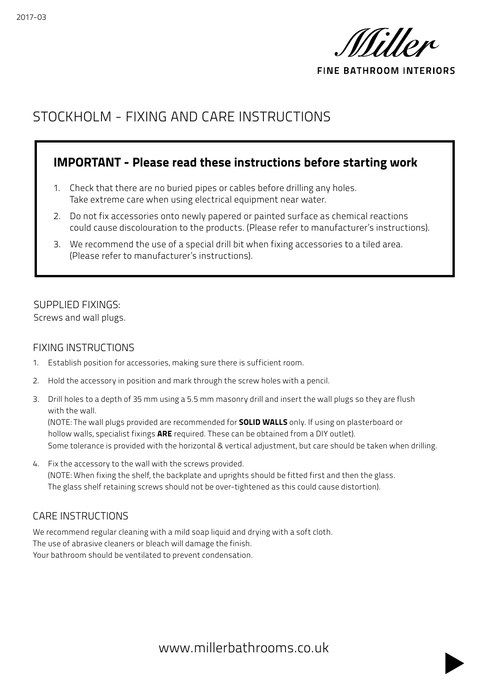

**FINE BATHROOM INTERIORS** 

# STOCKHOLM - FIXING AND CARE INSTRUCTIONS

## IMPORTANT - Please read these instructions before starting work

- 1. Check that there are no buried pipes or cables before drilling any holes. Take extreme care when using electrical equipment near water.
- 2. Do not fix accessories onto newly papered or painted surface as chemical reactions could cause discolouration to the products. (Please refer to manufacturer's instructions).
- 3. We recommend the use of a special drill bit when fixing accessories to a tiled area. (Please refer to manufacturer's instructions).

## SUPPLIED FIXINGS:

Screws and wall plugs.

#### FIXING INSTRUCTIONS

- 1. Establish position for accessories, making sure there is sufficient room.
- 2. Hold the accessory in position and mark through the screw holes with a pencil.
- 3. Drill holes to a depth of 35 mm using a 5.5 mm masonry drill and insert the wall plugs so they are flush with the wall.

(NOTE: The wall plugs provided are recommended for **SOLID WALLS** only. If using on plasterboard or hollow walls, specialist fixings **ARE** required. These can be obtained from a DIY outlet). Some tolerance is provided with the horizontal & vertical adjustment, but care should be taken when drilling.

4. Fix the accessory to the wall with the screws provided. (NOTE: When fixing the shelf, the backplate and uprights should be fitted first and then the glass. The glass shelf retaining screws should not be over-tightened as this could cause distortion).

### CARE INSTRUCTIONS

We recommend regular cleaning with a mild soap liquid and drying with a soft cloth. The use of abrasive cleaners or bleach will damage the finish. Your bathroom should be ventilated to prevent condensation.

www.millerbathrooms.co.uk